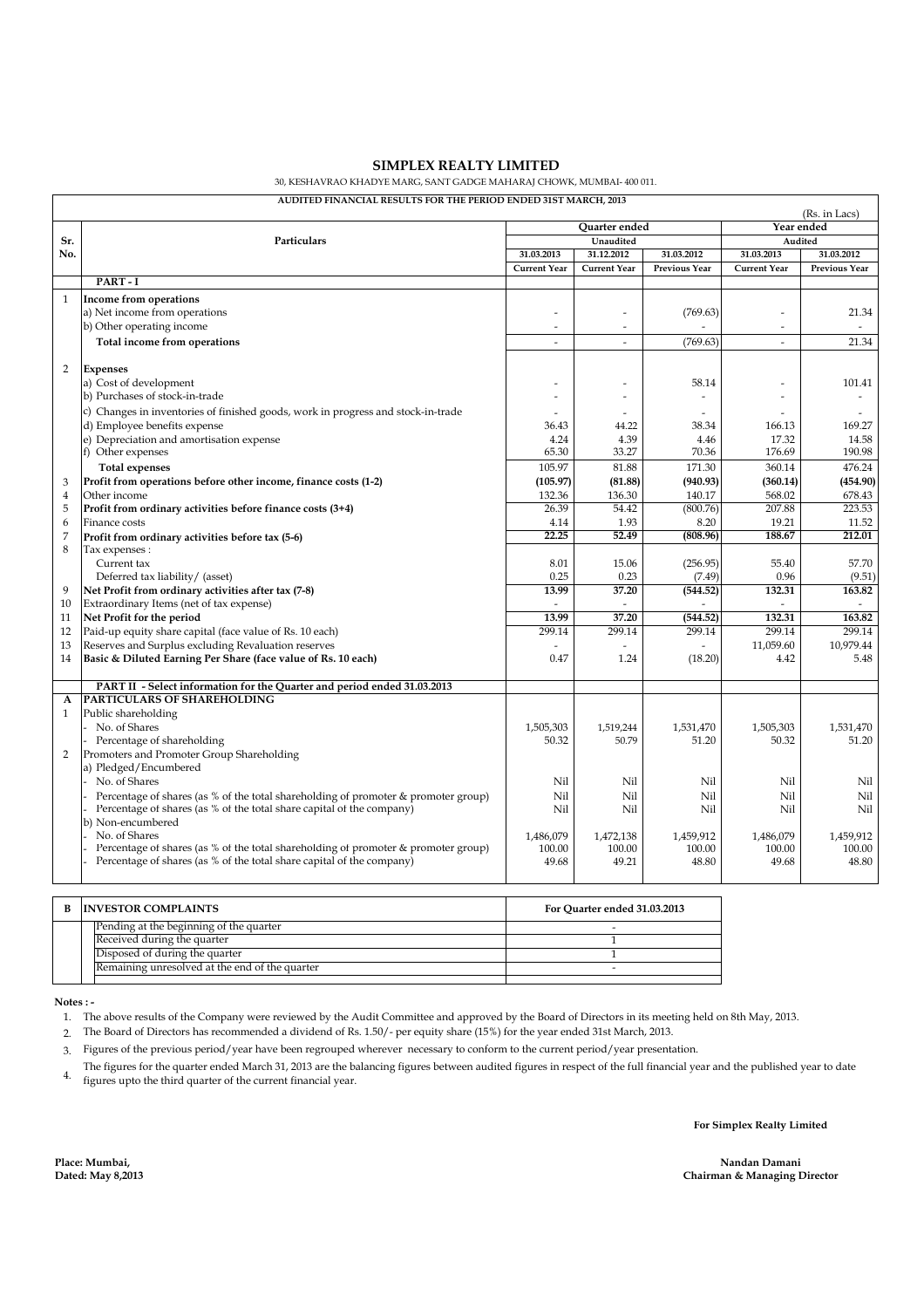## **SIMPLEX REALTY LIMITED**

30, KESHAVRAO KHADYE MARG, SANT GADGE MAHARAJ CHOWK, MUMBAI- 400 011.

## **AUDITED FINANCIAL RESULTS FOR THE PERIOD ENDED 31ST MARCH, 2013**

|                | (Rs. in Lacs)                                                                                                                                               |                          |                     |                      |                          |               |  |  |  |
|----------------|-------------------------------------------------------------------------------------------------------------------------------------------------------------|--------------------------|---------------------|----------------------|--------------------------|---------------|--|--|--|
|                |                                                                                                                                                             | Ouarter ended            |                     |                      | Year ended               |               |  |  |  |
| Sr.            | Particulars                                                                                                                                                 | Unaudited                |                     |                      | Audited                  |               |  |  |  |
| No.            |                                                                                                                                                             | 31.03.2013               | 31.12.2012          | 31.03.2012           | 31.03.2013               | 31.03.2012    |  |  |  |
|                |                                                                                                                                                             | <b>Current Year</b>      | <b>Current Year</b> | <b>Previous Year</b> | <b>Current Year</b>      | Previous Year |  |  |  |
|                | PART-I                                                                                                                                                      |                          |                     |                      |                          |               |  |  |  |
| $\mathbf{1}$   | Income from operations                                                                                                                                      |                          |                     |                      |                          |               |  |  |  |
|                | a) Net income from operations                                                                                                                               |                          | $\overline{a}$      | (769.63)             | $\overline{a}$           | 21.34         |  |  |  |
|                | b) Other operating income                                                                                                                                   | $\overline{\phantom{a}}$ | $\sim$              |                      | $\overline{a}$           | $\sim$        |  |  |  |
|                | Total income from operations                                                                                                                                | $\overline{a}$           | $\overline{a}$      | (769.63)             |                          | 21.34         |  |  |  |
|                |                                                                                                                                                             |                          |                     |                      |                          |               |  |  |  |
| $\overline{2}$ | <b>Expenses</b>                                                                                                                                             |                          |                     |                      |                          |               |  |  |  |
|                | a) Cost of development                                                                                                                                      |                          |                     | 58.14                |                          | 101.41        |  |  |  |
|                | b) Purchases of stock-in-trade                                                                                                                              |                          | ٠                   | $\sim$               | ÷                        |               |  |  |  |
|                | c) Changes in inventories of finished goods, work in progress and stock-in-trade                                                                            |                          |                     | $\overline{a}$       |                          |               |  |  |  |
|                | d) Employee benefits expense                                                                                                                                | 36.43                    | 44.22               | 38.34                | 166.13                   | 169.27        |  |  |  |
|                | e) Depreciation and amortisation expense                                                                                                                    | 4.24                     | 4.39                | 4.46                 | 17.32                    | 14.58         |  |  |  |
|                | f) Other expenses                                                                                                                                           | 65.30                    | 33.27               | 70.36                | 176.69                   | 190.98        |  |  |  |
|                | <b>Total expenses</b>                                                                                                                                       | 105.97                   | 81.88               | 171.30               | 360.14                   | 476.24        |  |  |  |
| 3              | Profit from operations before other income, finance costs (1-2)                                                                                             | (105.97)                 | (81.88)             | (940.93)             | (360.14)                 | (454.90)      |  |  |  |
| $\overline{4}$ | Other income                                                                                                                                                | 132.36                   | 136.30              | 140.17               | 568.02                   | 678.43        |  |  |  |
| 5              | Profit from ordinary activities before finance costs (3+4)                                                                                                  | 26.39                    | 54.42               | (800.76)             | 207.88                   | 223.53        |  |  |  |
| 6              | Finance costs                                                                                                                                               | 4.14                     | 1.93                | 8.20                 | 19.21                    | 11.52         |  |  |  |
| $\overline{7}$ | Profit from ordinary activities before tax (5-6)                                                                                                            | 22.25                    | 52.49               | (808.96)             | 188.67                   | 212.01        |  |  |  |
| 8              | Tax expenses :                                                                                                                                              |                          |                     |                      |                          |               |  |  |  |
|                | Current tax                                                                                                                                                 | 8.01                     | 15.06               | (256.95)             | 55.40                    | 57.70         |  |  |  |
|                | Deferred tax liability/ (asset)                                                                                                                             | 0.25                     | 0.23                | (7.49)               | 0.96                     | (9.51)        |  |  |  |
| 9              | Net Profit from ordinary activities after tax (7-8)                                                                                                         | 13.99                    | 37.20               | (544.52)             | 132.31                   | 163.82        |  |  |  |
| 10             | Extraordinary Items (net of tax expense)                                                                                                                    |                          |                     |                      | $\overline{\phantom{a}}$ |               |  |  |  |
| 11             | Net Profit for the period                                                                                                                                   | 13.99                    | 37.20               | (544.52)             | 132.31                   | 163.82        |  |  |  |
| 12             | Paid-up equity share capital (face value of Rs. 10 each)                                                                                                    | 299.14                   | 299.14              | 299.14               | 299.14                   | 299.14        |  |  |  |
| 13             | Reserves and Surplus excluding Revaluation reserves                                                                                                         |                          |                     | L.                   | 11,059.60                | 10.979.44     |  |  |  |
| 14             | Basic & Diluted Earning Per Share (face value of Rs. 10 each)                                                                                               | 0.47                     | 1.24                | (18.20)              | 4.42                     | 5.48          |  |  |  |
|                |                                                                                                                                                             |                          |                     |                      |                          |               |  |  |  |
|                | PART II - Select information for the Quarter and period ended 31.03.2013                                                                                    |                          |                     |                      |                          |               |  |  |  |
| A              | <b>PARTICULARS OF SHAREHOLDING</b>                                                                                                                          |                          |                     |                      |                          |               |  |  |  |
| $\mathbf{1}$   | Public shareholding                                                                                                                                         |                          |                     |                      |                          |               |  |  |  |
|                | No. of Shares                                                                                                                                               | 1,505,303                | 1,519,244           | 1,531,470            | 1,505,303                | 1,531,470     |  |  |  |
|                | Percentage of shareholding<br>Promoters and Promoter Group Shareholding                                                                                     | 50.32                    | 50.79               | 51.20                | 50.32                    | 51.20         |  |  |  |
| 2              | a) Pledged/Encumbered                                                                                                                                       |                          |                     |                      |                          |               |  |  |  |
|                | No. of Shares                                                                                                                                               | Nil                      | Nil                 | Nil                  | Nil                      | Nil           |  |  |  |
|                |                                                                                                                                                             | Nil                      | Nil                 | Nil                  | Nil                      | Nil           |  |  |  |
|                | Percentage of shares (as % of the total shareholding of promoter & promoter group)<br>Percentage of shares (as % of the total share capital of the company) | Nil                      | Nil                 | Nil                  | Nil                      | Nil           |  |  |  |
|                | b) Non-encumbered                                                                                                                                           |                          |                     |                      |                          |               |  |  |  |
|                | No. of Shares                                                                                                                                               | 1,486,079                | 1,472,138           | 1,459,912            | 1,486,079                | 1.459.912     |  |  |  |
|                | Percentage of shares (as % of the total shareholding of promoter & promoter group)                                                                          | 100.00                   | 100.00              | 100.00               | 100.00                   | 100.00        |  |  |  |
|                | Percentage of shares (as % of the total share capital of the company)                                                                                       | 49.68                    | 49.21               | 48.80                | 49.68                    | 48.80         |  |  |  |
|                |                                                                                                                                                             |                          |                     |                      |                          |               |  |  |  |
|                |                                                                                                                                                             |                          |                     |                      |                          |               |  |  |  |

| B. | <b>INVESTOR COMPLAINTS</b>                     | For Quarter ended 31.03.2013 |  |  |
|----|------------------------------------------------|------------------------------|--|--|
|    | Pending at the beginning of the quarter        |                              |  |  |
|    | Received during the quarter                    |                              |  |  |
|    | Disposed of during the quarter                 |                              |  |  |
|    | Remaining unresolved at the end of the quarter |                              |  |  |
|    |                                                |                              |  |  |

 **Notes : -**

1. The above results of the Company were reviewed by the Audit Committee and approved by the Board of Directors in its meeting held on 8th May, 2013.

2. The Board of Directors has recommended a dividend of Rs. 1.50/- per equity share (15%) for the year ended 31st March, 2013.

3. Figures of the previous period/year have been regrouped wherever necessary to conform to the current period/year presentation.

4. figures upto the third quarter of the current financial year. The figures for the quarter ended March 31, 2013 are the balancing figures between audited figures in respect of the full financial year and the published year to date

**For Simplex Realty Limited**

**Nandan Damani Chairman & Managing Director**

**Place: Mumbai, Dated: May 8,2013**